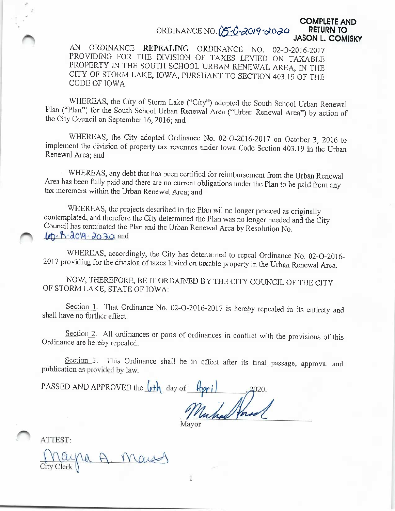## COMPLETE AND ORDINANCE NO.  $25-0.2019-0.030$  RETURN TO **JASON L. COMISKY**

AN ORDINANCE REPEALING ORDINANCE NO. 02-O-2016-2017 PROVIDING FOR THE DIVISION OF TAXES LEVIED ON TAXABLE PROPERTY IN THE SOUTH SCHOOL URBAN RENEWAL AREA, IN THE CITY OF STORM LAKE, IOWA, PURSUANT TO SECTION 403. 19 OF THE CODE OF IOWA.

WHEREAS, the City of Storm Lake ("City") adopted the South School Urban Renewal Plan ("Plan") for the South School Urban Renewal Area ("Urban Renewal Area") by action of the City Council on September 16, 2016; and

WHEREAS, the City adopted Ordinance No. 02-O-2016-2017 on October 3, 2016 to implement the division of property tax revenues under Iowa Code Section 403. 19 in the Urban Renewal Area; and

WHEREAS, any debt that has been certified for reimbursement from the Urban Renewal Area has been fully paid and there are no current obligations under the Plan to be paid from any tax increment within the Urban Renewal Area; and

Whereas is, the projects described in the Plan will no longer proceed as originally contemplated, and therefore the City determined the Plan was no longer needed and the City Council has terminated the Plan and the Urban Renewal Area by Resolution No.  $10 - 5 - 2019 - 202$  and

WHEREAS, accordingly, the City has determined to repeal Ordinance No. 02-O-2016-2017 providing for the division oftaxes levied on taxable property in the Urban Renewal Area.

NOW, THEREFORE, BE IT ORDAINED BY THE CITY COUNCIL OF THE CITY OF STORM LAKE, STATE OF IOWA:

Section 1. That Ordinance No. 02-O-2016-2017 is hereby repealed in its entirety and shall have no further effect.

Section 2. All ordinances or parts of ordinances in conflict with the provisions of this Ordinance are hereby repealed.

Section 3. This Ordinance shall be in effect after its final passage, approval and publication as provided by law. publication as provided by law.

PASSED AND APPROVED the  $\frac{\left(\nu + h\right)}{2}$  day of  $\frac{h}{\nu}$   $\left(\frac{\nu + h}{2}\right)$  (2020) Muchael Pores

ATTEST:

 $\frac{1}{2}$ ayy May City Clerk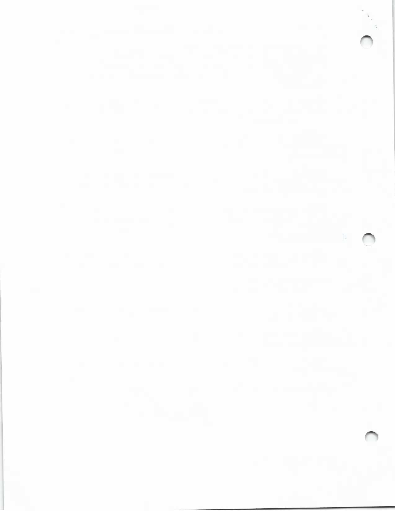